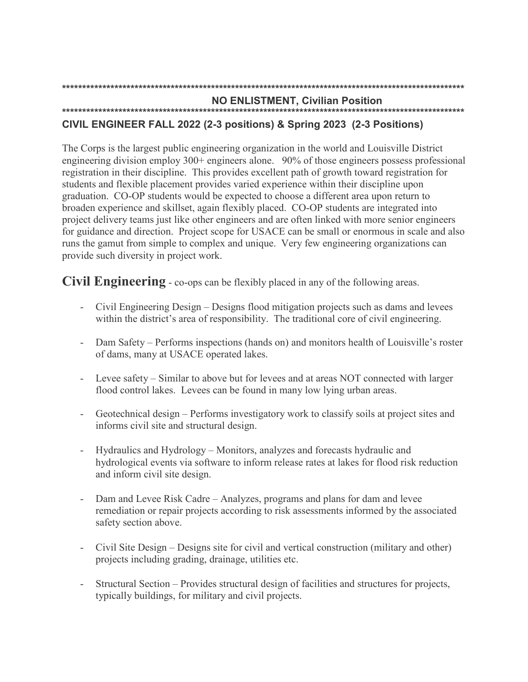#### **NO ENLISTMENT, Civilian Position**

# CIVIL ENGINEER FALL 2022 (2-3 positions) & Spring 2023 (2-3 Positions)

The Corps is the largest public engineering organization in the world and Louisville District engineering division employ  $300+$  engineers alone. 90% of those engineers possess professional registration in their discipline. This provides excellent path of growth toward registration for students and flexible placement provides varied experience within their discipline upon graduation. CO-OP students would be expected to choose a different area upon return to broaden experience and skillset, again flexibly placed. CO-OP students are integrated into project delivery teams just like other engineers and are often linked with more senior engineers for guidance and direction. Project scope for USACE can be small or enormous in scale and also runs the gamut from simple to complex and unique. Very few engineering organizations can provide such diversity in project work.

**Civil Engineering** - co-ops can be flexibly placed in any of the following areas.

- Civil Engineering Design Designs flood mitigation projects such as dams and levees within the district's area of responsibility. The traditional core of civil engineering.
- Dam Safety Performs inspections (hands on) and monitors health of Louisville's roster  $\omega_{\rm{max}}$ of dams, many at USACE operated lakes.
- Levee safety Similar to above but for levees and at areas NOT connected with larger flood control lakes. Levees can be found in many low lying urban areas.
- Geotechnical design Performs investigatory work to classify soils at project sites and  $\Delta \sim 10^4$ informs civil site and structural design.
- Hydraulics and Hydrology Monitors, analyzes and forecasts hydraulic and  $\sim 10^{-1}$ hydrological events via software to inform release rates at lakes for flood risk reduction and inform civil site design.
- Dam and Levee Risk Cadre Analyzes, programs and plans for dam and levee remediation or repair projects according to risk assessments informed by the associated safety section above.
- Civil Site Design Designs site for civil and vertical construction (military and other)  $\omega_{\rm{max}}$ projects including grading, drainage, utilities etc.
- Structural Section Provides structural design of facilities and structures for projects,  $\omega_{\rm{max}}$ typically buildings, for military and civil projects.